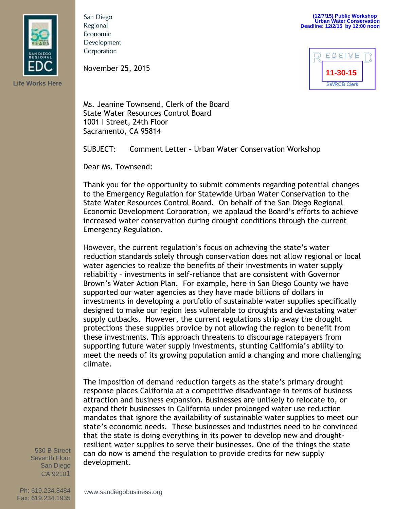

**Life Works Here**

San Diego Regional Economic Development Corporation

November 25, 2015



Ms. Jeanine Townsend, Clerk of the Board State Water Resources Control Board 1001 I Street, 24th Floor Sacramento, CA 95814

SUBJECT: Comment Letter – Urban Water Conservation Workshop

Dear Ms. Townsend:

Thank you for the opportunity to submit comments regarding potential changes to the Emergency Regulation for Statewide Urban Water Conservation to the State Water Resources Control Board. On behalf of the San Diego Regional Economic Development Corporation, we applaud the Board's efforts to achieve increased water conservation during drought conditions through the current Emergency Regulation.

However, the current regulation's focus on achieving the state's water reduction standards solely through conservation does not allow regional or local water agencies to realize the benefits of their investments in water supply reliability – investments in self-reliance that are consistent with Governor Brown's Water Action Plan. For example, here in San Diego County we have supported our water agencies as they have made billions of dollars in investments in developing a portfolio of sustainable water supplies specifically designed to make our region less vulnerable to droughts and devastating water supply cutbacks. However, the current regulations strip away the drought protections these supplies provide by not allowing the region to benefit from these investments. This approach threatens to discourage ratepayers from supporting future water supply investments, stunting California's ability to meet the needs of its growing population amid a changing and more challenging climate.

The imposition of demand reduction targets as the state's primary drought response places California at a competitive disadvantage in terms of business attraction and business expansion. Businesses are unlikely to relocate to, or expand their businesses in California under prolonged water use reduction mandates that ignore the availability of sustainable water supplies to meet our state's economic needs. These businesses and industries need to be convinced that the state is doing everything in its power to develop new and droughtresilient water supplies to serve their businesses. One of the things the state can do now is amend the regulation to provide credits for new supply development.

530 B Street Seventh Floor San Diego CA 92101

Ph: 619.234.8484 Fax: 619.234.1935